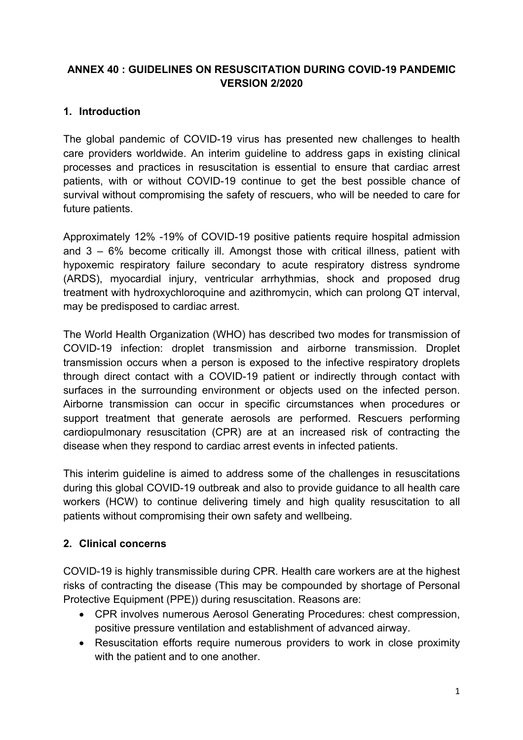#### **ANNEX 40 : GUIDELINES ON RESUSCITATION DURING COVID-19 PANDEMIC VERSION 2/2020**

### **1. Introduction**

The alobal pandemic of COVID-19 virus has presented new challenges to health care providers worldwide. An interim guideline to address gaps in existing clinical processes and practices in resuscitation is essential to ensure that cardiac arrest patients, with or without COVID-19 continue to get the best possible chance of survival without compromising the safety of rescuers, who will be needed to care for future patients.

Approximately 12% -19% of COVID-19 positive patients require hospital admission and  $3 - 6\%$  become critically ill. Amongst those with critical illness, patient with hypoxemic respiratory failure secondary to acute respiratory distress syndrome (ARDS), myocardial injury, ventricular arrhythmias, shock and proposed drug treatment with hydroxychloroquine and azithromycin, which can prolong QT interval, may be predisposed to cardiac arrest.

The World Health Organization (WHO) has described two modes for transmission of COVID-19 infection: droplet transmission and airborne transmission. Droplet transmission occurs when a person is exposed to the infective respiratory droplets through direct contact with a COVID-19 patient or indirectly through contact with surfaces in the surrounding environment or objects used on the infected person. Airborne transmission can occur in specific circumstances when procedures or support treatment that generate aerosols are performed. Rescuers performing cardiopulmonary resuscitation (CPR) are at an increased risk of contracting the disease when they respond to cardiac arrest events in infected patients.

This interim guideline is aimed to address some of the challenges in resuscitations during this global COVID-19 outbreak and also to provide guidance to all health care workers (HCW) to continue delivering timely and high quality resuscitation to all patients without compromising their own safety and wellbeing.

#### **2. Clinical concerns**

COVID-19 is highly transmissible during CPR. Health care workers are at the highest risks of contracting the disease (This may be compounded by shortage of Personal Protective Equipment (PPE)) during resuscitation. Reasons are:

- CPR involves numerous Aerosol Generating Procedures: chest compression, positive pressure ventilation and establishment of advanced airway.
- Resuscitation efforts require numerous providers to work in close proximity with the patient and to one another.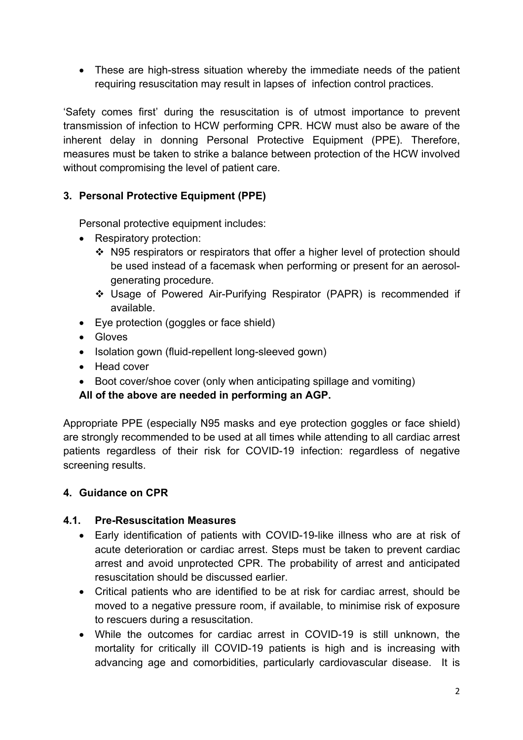• These are high-stress situation whereby the immediate needs of the patient requiring resuscitation may result in lapses of infection control practices.

'Safety comes first' during the resuscitation is of utmost importance to prevent transmission of infection to HCW performing CPR. HCW must also be aware of the inherent delay in donning Personal Protective Equipment (PPE). Therefore, measures must be taken to strike a balance between protection of the HCW involved without compromising the level of patient care.

#### **3. Personal Protective Equipment (PPE)**

Personal protective equipment includes:

- Respiratory protection:
	- N95 respirators or respirators that offer a higher level of protection should be used instead of a facemask when performing or present for an aerosolgenerating procedure.
	- \* Usage of Powered Air-Purifying Respirator (PAPR) is recommended if available.
- Eye protection (goggles or face shield)
- Gloves
- Isolation gown (fluid-repellent long-sleeved gown)
- Head cover
- Boot cover/shoe cover (only when anticipating spillage and vomiting)

**All of the above are needed in performing an AGP.** 

Appropriate PPE (especially N95 masks and eye protection goggles or face shield) are strongly recommended to be used at all times while attending to all cardiac arrest patients regardless of their risk for COVID-19 infection: regardless of negative screening results.

#### **4. Guidance on CPR**

#### **4.1. Pre-Resuscitation Measures**

- Early identification of patients with COVID-19-like illness who are at risk of acute deterioration or cardiac arrest. Steps must be taken to prevent cardiac arrest and avoid unprotected CPR. The probability of arrest and anticipated resuscitation should be discussed earlier.
- Critical patients who are identified to be at risk for cardiac arrest, should be moved to a negative pressure room, if available, to minimise risk of exposure to rescuers during a resuscitation.
- While the outcomes for cardiac arrest in COVID-19 is still unknown, the mortality for critically ill COVID-19 patients is high and is increasing with advancing age and comorbidities, particularly cardiovascular disease. It is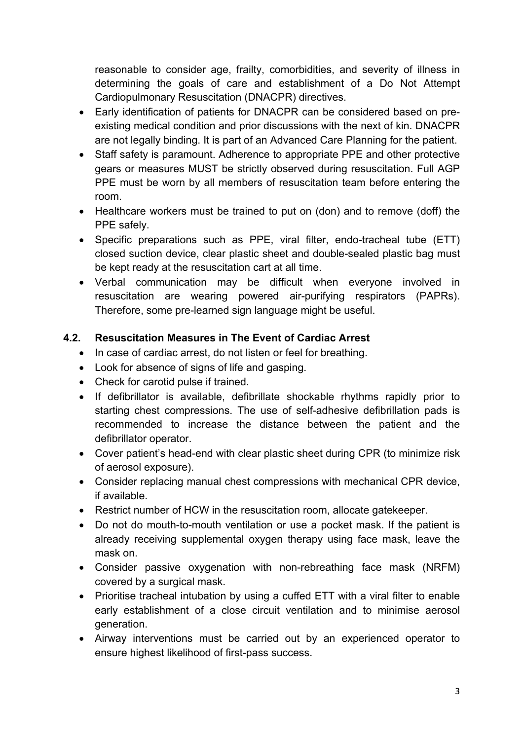reasonable to consider age, frailty, comorbidities, and severity of illness in determining the goals of care and establishment of a Do Not Attempt Cardiopulmonary Resuscitation (DNACPR) directives.

- Early identification of patients for DNACPR can be considered based on preexisting medical condition and prior discussions with the next of kin. DNACPR are not legally binding. It is part of an Advanced Care Planning for the patient.
- Staff safety is paramount. Adherence to appropriate PPE and other protective gears or measures MUST be strictly observed during resuscitation. Full AGP PPE must be worn by all members of resuscitation team before entering the room.
- Healthcare workers must be trained to put on (don) and to remove (doff) the PPE safely.
- Specific preparations such as PPE, viral filter, endo-tracheal tube (ETT) closed suction device, clear plastic sheet and double-sealed plastic bag must be kept ready at the resuscitation cart at all time.
- Verbal communication may be difficult when everyone involved in resuscitation are wearing powered air-purifying respirators (PAPRs). Therefore, some pre-learned sign language might be useful.

#### **4.2. Resuscitation Measures in The Event of Cardiac Arrest**

- In case of cardiac arrest, do not listen or feel for breathing.
- Look for absence of signs of life and gasping.
- Check for carotid pulse if trained.
- If defibrillator is available, defibrillate shockable rhythms rapidly prior to starting chest compressions. The use of self-adhesive defibrillation pads is recommended to increase the distance between the patient and the defibrillator operator.
- Cover patient's head-end with clear plastic sheet during CPR (to minimize risk of aerosol exposure).
- Consider replacing manual chest compressions with mechanical CPR device, if available.
- Restrict number of HCW in the resuscitation room, allocate gatekeeper.
- Do not do mouth-to-mouth ventilation or use a pocket mask. If the patient is already receiving supplemental oxygen therapy using face mask, leave the mask on.
- Consider passive oxygenation with non-rebreathing face mask (NRFM) covered by a surgical mask.
- Prioritise tracheal intubation by using a cuffed ETT with a viral filter to enable early establishment of a close circuit ventilation and to minimise aerosol generation.
- Airway interventions must be carried out by an experienced operator to ensure highest likelihood of first-pass success.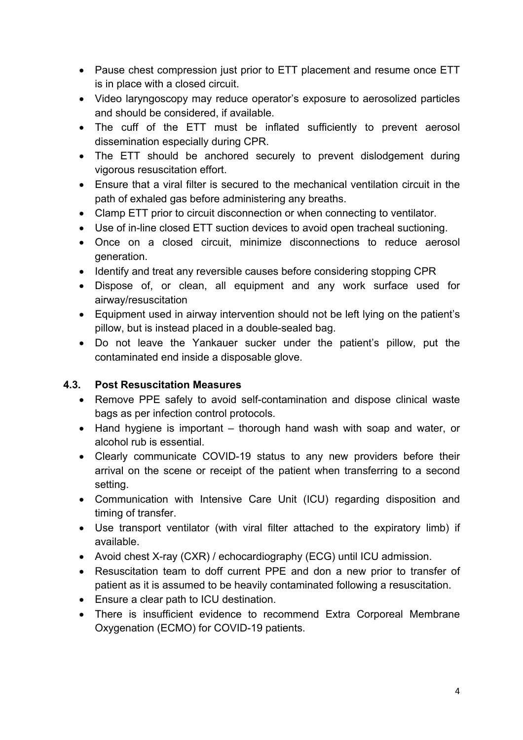- Pause chest compression just prior to ETT placement and resume once ETT is in place with a closed circuit.
- Video laryngoscopy may reduce operator's exposure to aerosolized particles and should be considered, if available.
- The cuff of the ETT must be inflated sufficiently to prevent aerosol dissemination especially during CPR.
- The ETT should be anchored securely to prevent dislodgement during vigorous resuscitation effort.
- Ensure that a viral filter is secured to the mechanical ventilation circuit in the path of exhaled gas before administering any breaths.
- Clamp ETT prior to circuit disconnection or when connecting to ventilator.
- Use of in-line closed ETT suction devices to avoid open tracheal suctioning.
- Once on a closed circuit, minimize disconnections to reduce aerosol generation.
- Identify and treat any reversible causes before considering stopping CPR
- Dispose of, or clean, all equipment and any work surface used for airway/resuscitation
- Equipment used in airway intervention should not be left lying on the patient's pillow, but is instead placed in a double-sealed bag.
- Do not leave the Yankauer sucker under the patient's pillow, put the contaminated end inside a disposable glove.

#### **4.3. Post Resuscitation Measures**

- Remove PPE safely to avoid self-contamination and dispose clinical waste bags as per infection control protocols.
- Hand hygiene is important thorough hand wash with soap and water, or alcohol rub is essential.
- Clearly communicate COVID-19 status to any new providers before their arrival on the scene or receipt of the patient when transferring to a second setting.
- Communication with Intensive Care Unit (ICU) regarding disposition and timing of transfer.
- Use transport ventilator (with viral filter attached to the expiratory limb) if available.
- Avoid chest X-ray (CXR) / echocardiography (ECG) until ICU admission.
- Resuscitation team to doff current PPE and don a new prior to transfer of patient as it is assumed to be heavily contaminated following a resuscitation.
- Ensure a clear path to ICU destination.
- There is insufficient evidence to recommend Extra Corporeal Membrane Oxygenation (ECMO) for COVID-19 patients.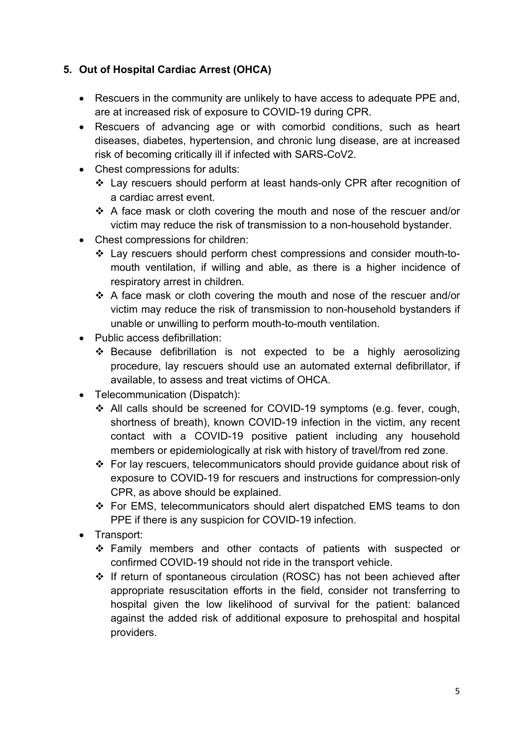### **5. Out of Hospital Cardiac Arrest (OHCA)**

- Rescuers in the community are unlikely to have access to adequate PPE and, are at increased risk of exposure to COVID-19 during CPR.
- Rescuers of advancing age or with comorbid conditions, such as heart diseases, diabetes, hypertension, and chronic lung disease, are at increased risk of becoming critically ill if infected with SARS-CoV2.
- Chest compressions for adults:
	- v Lay rescuers should perform at least hands-only CPR after recognition of a cardiac arrest event.
	- $\div$  A face mask or cloth covering the mouth and nose of the rescuer and/or victim may reduce the risk of transmission to a non-household bystander.
- Chest compressions for children:
	- v Lay rescuers should perform chest compressions and consider mouth-tomouth ventilation, if willing and able, as there is a higher incidence of respiratory arrest in children.
	- $\div$  A face mask or cloth covering the mouth and nose of the rescuer and/or victim may reduce the risk of transmission to non-household bystanders if unable or unwilling to perform mouth-to-mouth ventilation.
- Public access defibrillation:
	- $\div$  Because defibrillation is not expected to be a highly aerosolizing procedure, lay rescuers should use an automated external defibrillator, if available, to assess and treat victims of OHCA.
- Telecommunication (Dispatch):
	- \* All calls should be screened for COVID-19 symptoms (e.g. fever, cough, shortness of breath), known COVID-19 infection in the victim, any recent contact with a COVID-19 positive patient including any household members or epidemiologically at risk with history of travel/from red zone.
	- $\div$  For lay rescuers, telecommunicators should provide guidance about risk of exposure to COVID-19 for rescuers and instructions for compression-only CPR, as above should be explained.
	- $\div$  For EMS, telecommunicators should alert dispatched EMS teams to don PPE if there is any suspicion for COVID-19 infection.
- Transport:
	- \* Family members and other contacts of patients with suspected or confirmed COVID-19 should not ride in the transport vehicle.
	- v If return of spontaneous circulation (ROSC) has not been achieved after appropriate resuscitation efforts in the field, consider not transferring to hospital given the low likelihood of survival for the patient: balanced against the added risk of additional exposure to prehospital and hospital providers.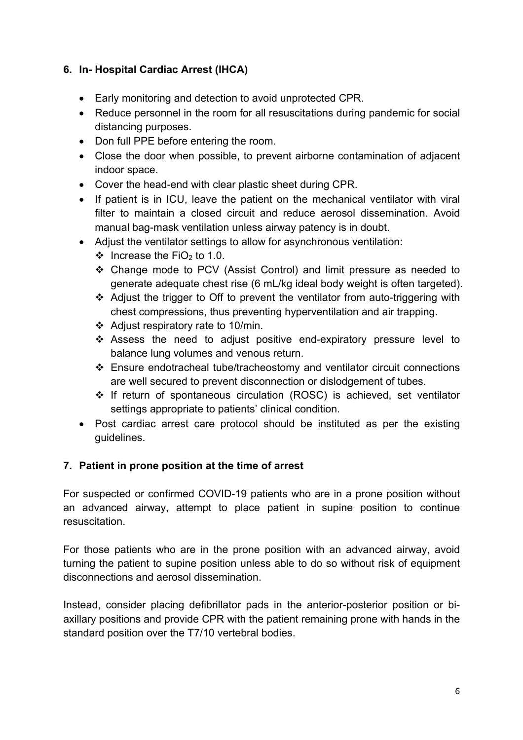#### **6. In- Hospital Cardiac Arrest (IHCA)**

- Early monitoring and detection to avoid unprotected CPR.
- Reduce personnel in the room for all resuscitations during pandemic for social distancing purposes.
- Don full PPE before entering the room.
- Close the door when possible, to prevent airborne contamination of adjacent indoor space.
- Cover the head-end with clear plastic sheet during CPR.
- If patient is in ICU, leave the patient on the mechanical ventilator with viral filter to maintain a closed circuit and reduce aerosol dissemination. Avoid manual bag-mask ventilation unless airway patency is in doubt.
- Adjust the ventilator settings to allow for asynchronous ventilation:
	- $\div$  Increase the FiO<sub>2</sub> to 1.0.
	- v Change mode to PCV (Assist Control) and limit pressure as needed to generate adequate chest rise (6 mL/kg ideal body weight is often targeted).
	- Adjust the trigger to Off to prevent the ventilator from auto-triggering with chest compressions, thus preventing hyperventilation and air trapping.
	- $\div$  Adjust respiratory rate to 10/min.
	- \* Assess the need to adjust positive end-expiratory pressure level to balance lung volumes and venous return.
	- $\div$  Ensure endotracheal tube/tracheostomy and ventilator circuit connections are well secured to prevent disconnection or dislodgement of tubes.
	- v If return of spontaneous circulation (ROSC) is achieved, set ventilator settings appropriate to patients' clinical condition.
- Post cardiac arrest care protocol should be instituted as per the existing guidelines.

#### **7. Patient in prone position at the time of arrest**

For suspected or confirmed COVID-19 patients who are in a prone position without an advanced airway, attempt to place patient in supine position to continue resuscitation.

For those patients who are in the prone position with an advanced airway, avoid turning the patient to supine position unless able to do so without risk of equipment disconnections and aerosol dissemination.

Instead, consider placing defibrillator pads in the anterior-posterior position or biaxillary positions and provide CPR with the patient remaining prone with hands in the standard position over the T7/10 vertebral bodies.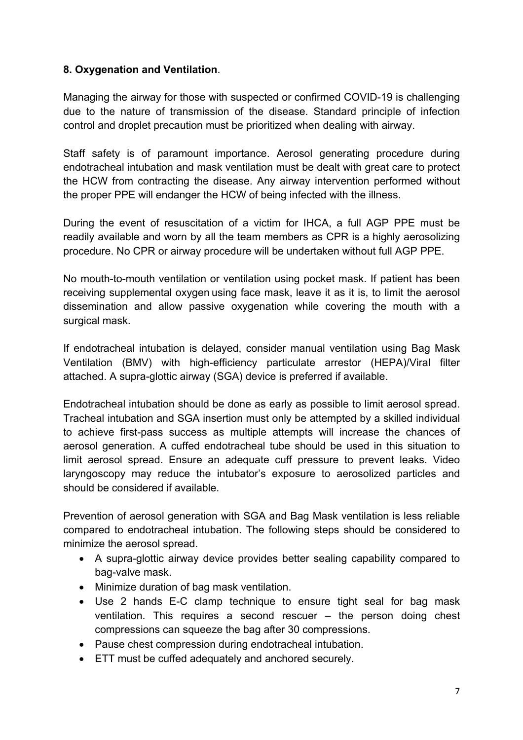#### **8. Oxygenation and Ventilation**.

Managing the airway for those with suspected or confirmed COVID-19 is challenging due to the nature of transmission of the disease. Standard principle of infection control and droplet precaution must be prioritized when dealing with airway.

Staff safety is of paramount importance. Aerosol generating procedure during endotracheal intubation and mask ventilation must be dealt with great care to protect the HCW from contracting the disease. Any airway intervention performed without the proper PPE will endanger the HCW of being infected with the illness.

During the event of resuscitation of a victim for IHCA, a full AGP PPE must be readily available and worn by all the team members as CPR is a highly aerosolizing procedure. No CPR or airway procedure will be undertaken without full AGP PPE.

No mouth-to-mouth ventilation or ventilation using pocket mask. If patient has been receiving supplemental oxygen using face mask, leave it as it is, to limit the aerosol dissemination and allow passive oxygenation while covering the mouth with a surgical mask.

If endotracheal intubation is delayed, consider manual ventilation using Bag Mask Ventilation (BMV) with high-efficiency particulate arrestor (HEPA)/Viral filter attached. A supra-glottic airway (SGA) device is preferred if available.

Endotracheal intubation should be done as early as possible to limit aerosol spread. Tracheal intubation and SGA insertion must only be attempted by a skilled individual to achieve first-pass success as multiple attempts will increase the chances of aerosol generation. A cuffed endotracheal tube should be used in this situation to limit aerosol spread. Ensure an adequate cuff pressure to prevent leaks. Video laryngoscopy may reduce the intubator's exposure to aerosolized particles and should be considered if available.

Prevention of aerosol generation with SGA and Bag Mask ventilation is less reliable compared to endotracheal intubation. The following steps should be considered to minimize the aerosol spread.

- A supra-glottic airway device provides better sealing capability compared to bag-valve mask.
- Minimize duration of bag mask ventilation.
- Use 2 hands E-C clamp technique to ensure tight seal for bag mask ventilation. This requires a second rescuer – the person doing chest compressions can squeeze the bag after 30 compressions.
- Pause chest compression during endotracheal intubation.
- ETT must be cuffed adequately and anchored securely.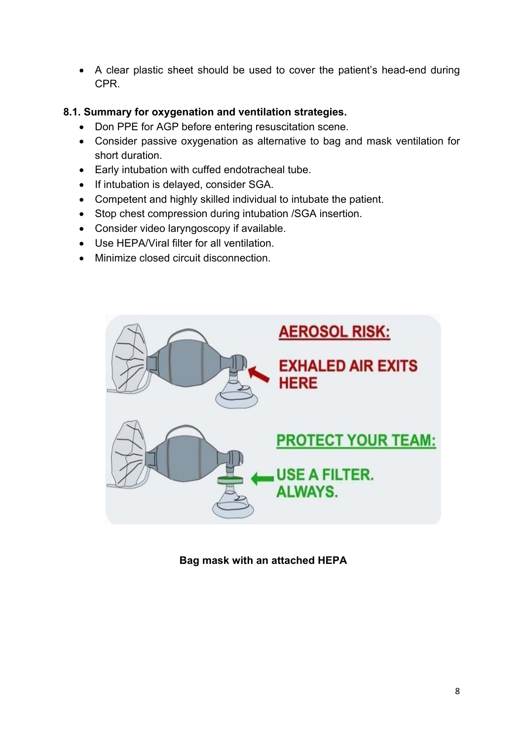• A clear plastic sheet should be used to cover the patient's head-end during CPR.

#### **8.1. Summary for oxygenation and ventilation strategies.**

- Don PPE for AGP before entering resuscitation scene.
- Consider passive oxygenation as alternative to bag and mask ventilation for short duration.
- Early intubation with cuffed endotracheal tube.
- If intubation is delayed, consider SGA.
- Competent and highly skilled individual to intubate the patient.
- Stop chest compression during intubation /SGA insertion.
- Consider video laryngoscopy if available.
- Use HEPA/Viral filter for all ventilation.
- Minimize closed circuit disconnection.



**Bag mask with an attached HEPA**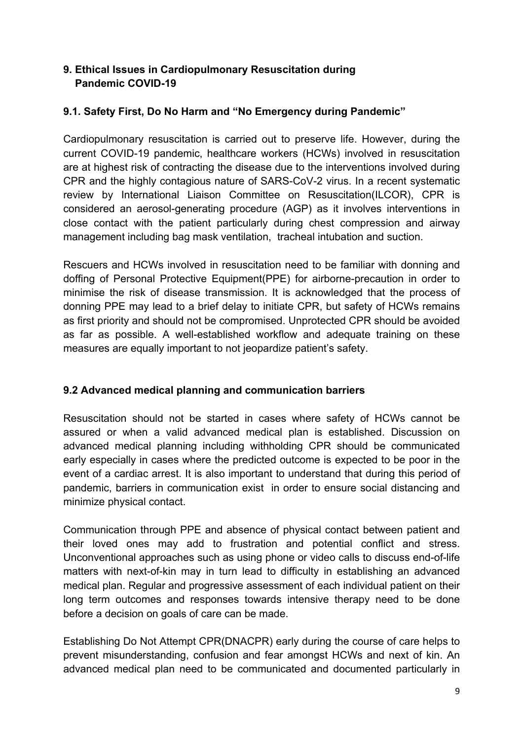#### **9. Ethical Issues in Cardiopulmonary Resuscitation during Pandemic COVID-19**

#### **9.1. Safety First, Do No Harm and "No Emergency during Pandemic"**

Cardiopulmonary resuscitation is carried out to preserve life. However, during the current COVID-19 pandemic, healthcare workers (HCWs) involved in resuscitation are at highest risk of contracting the disease due to the interventions involved during CPR and the highly contagious nature of SARS-CoV-2 virus. In a recent systematic review by International Liaison Committee on Resuscitation(ILCOR), CPR is considered an aerosol-generating procedure (AGP) as it involves interventions in close contact with the patient particularly during chest compression and airway management including bag mask ventilation, tracheal intubation and suction.

Rescuers and HCWs involved in resuscitation need to be familiar with donning and doffing of Personal Protective Equipment(PPE) for airborne-precaution in order to minimise the risk of disease transmission. It is acknowledged that the process of donning PPE may lead to a brief delay to initiate CPR, but safety of HCWs remains as first priority and should not be compromised. Unprotected CPR should be avoided as far as possible. A well-established workflow and adequate training on these measures are equally important to not jeopardize patient's safety.

#### **9.2 Advanced medical planning and communication barriers**

Resuscitation should not be started in cases where safety of HCWs cannot be assured or when a valid advanced medical plan is established. Discussion on advanced medical planning including withholding CPR should be communicated early especially in cases where the predicted outcome is expected to be poor in the event of a cardiac arrest. It is also important to understand that during this period of pandemic, barriers in communication exist in order to ensure social distancing and minimize physical contact.

Communication through PPE and absence of physical contact between patient and their loved ones may add to frustration and potential conflict and stress. Unconventional approaches such as using phone or video calls to discuss end-of-life matters with next-of-kin may in turn lead to difficulty in establishing an advanced medical plan. Regular and progressive assessment of each individual patient on their long term outcomes and responses towards intensive therapy need to be done before a decision on goals of care can be made.

Establishing Do Not Attempt CPR(DNACPR) early during the course of care helps to prevent misunderstanding, confusion and fear amongst HCWs and next of kin. An advanced medical plan need to be communicated and documented particularly in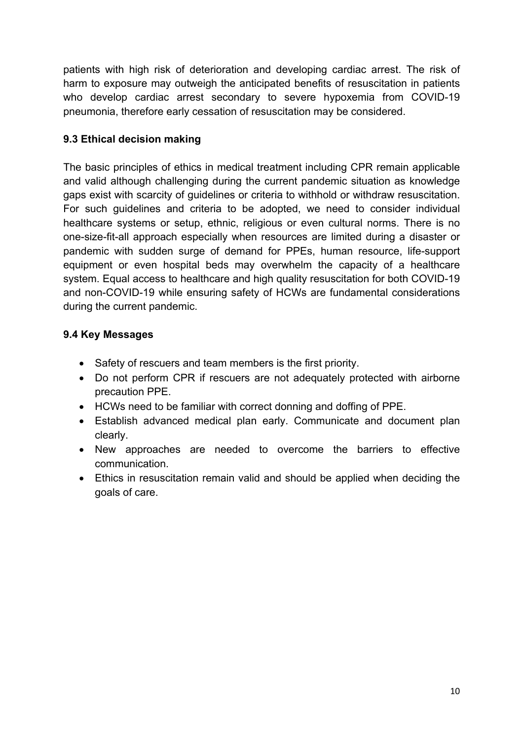patients with high risk of deterioration and developing cardiac arrest. The risk of harm to exposure may outweigh the anticipated benefits of resuscitation in patients who develop cardiac arrest secondary to severe hypoxemia from COVID-19 pneumonia, therefore early cessation of resuscitation may be considered.

### **9.3 Ethical decision making**

The basic principles of ethics in medical treatment including CPR remain applicable and valid although challenging during the current pandemic situation as knowledge gaps exist with scarcity of guidelines or criteria to withhold or withdraw resuscitation. For such guidelines and criteria to be adopted, we need to consider individual healthcare systems or setup, ethnic, religious or even cultural norms. There is no one-size-fit-all approach especially when resources are limited during a disaster or pandemic with sudden surge of demand for PPEs, human resource, life-support equipment or even hospital beds may overwhelm the capacity of a healthcare system. Equal access to healthcare and high quality resuscitation for both COVID-19 and non-COVID-19 while ensuring safety of HCWs are fundamental considerations during the current pandemic.

## **9.4 Key Messages**

- Safety of rescuers and team members is the first priority.
- Do not perform CPR if rescuers are not adequately protected with airborne precaution PPE.
- HCWs need to be familiar with correct donning and doffing of PPE.
- Establish advanced medical plan early. Communicate and document plan clearly.
- New approaches are needed to overcome the barriers to effective communication.
- Ethics in resuscitation remain valid and should be applied when deciding the goals of care.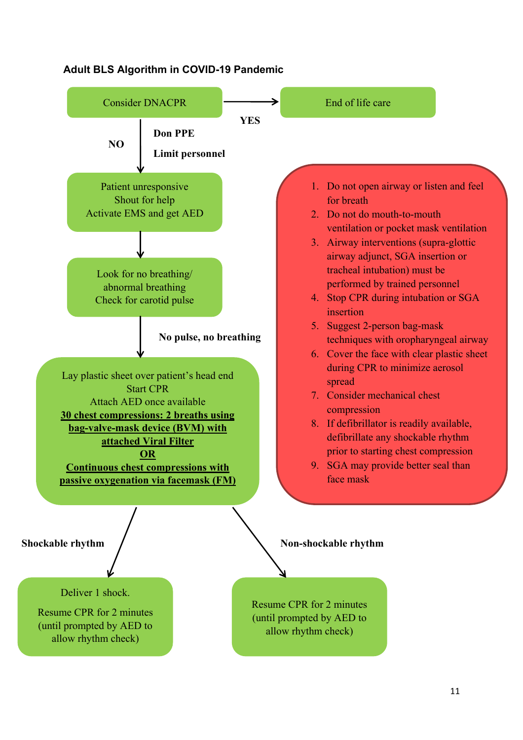

#### **Adult BLS Algorithm in COVID-19 Pandemic**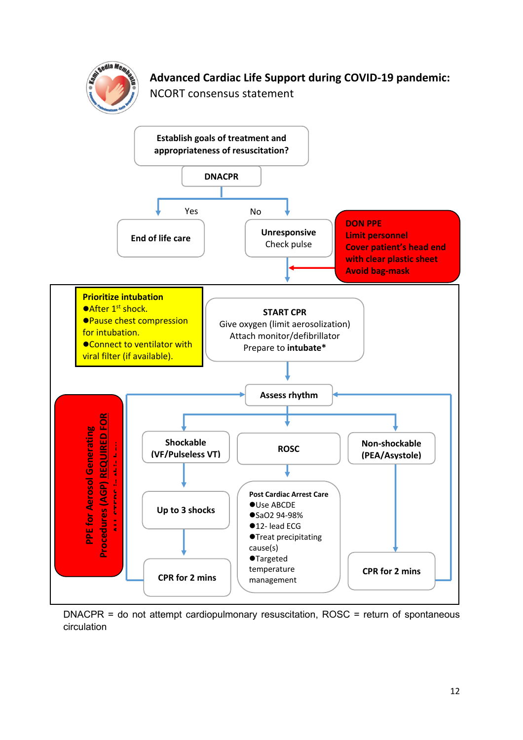

# **Advanced Cardiac Life Support during COVID-19 pandemic:**

NCORT consensus statement



DNACPR = do not attempt cardiopulmonary resuscitation, ROSC = return of spontaneous circulation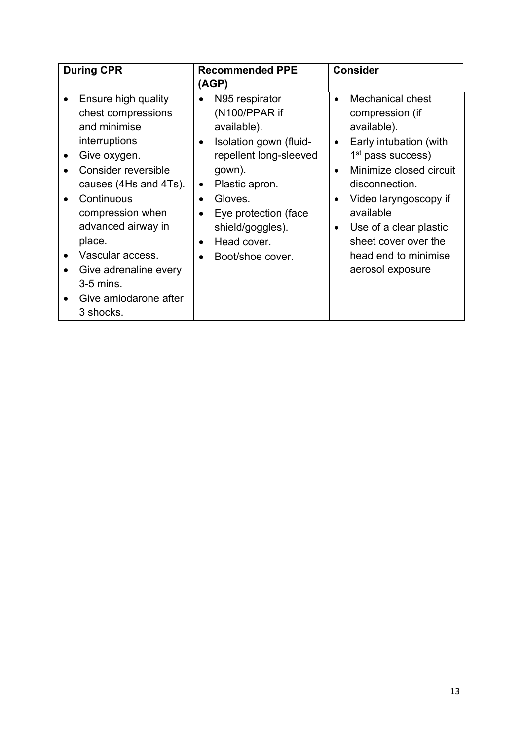| <b>During CPR</b> |                                                                                                                                                                                                                                                           | <b>Recommended PPE</b>                                                                                                                                                                                                                                                                                          | <b>Consider</b>                                                                                                                                                                                                                                                                                                                       |
|-------------------|-----------------------------------------------------------------------------------------------------------------------------------------------------------------------------------------------------------------------------------------------------------|-----------------------------------------------------------------------------------------------------------------------------------------------------------------------------------------------------------------------------------------------------------------------------------------------------------------|---------------------------------------------------------------------------------------------------------------------------------------------------------------------------------------------------------------------------------------------------------------------------------------------------------------------------------------|
|                   |                                                                                                                                                                                                                                                           |                                                                                                                                                                                                                                                                                                                 |                                                                                                                                                                                                                                                                                                                                       |
|                   | Ensure high quality<br>chest compressions<br>and minimise<br>interruptions<br>Give oxygen.<br>Consider reversible<br>causes (4Hs and 4Ts).<br>Continuous<br>compression when<br>advanced airway in<br>place.<br>Vascular access.<br>Give adrenaline every | (AGP)<br>N95 respirator<br>(N100/PPAR if<br>available).<br>Isolation gown (fluid-<br>$\bullet$<br>repellent long-sleeved<br>gown).<br>Plastic apron.<br>$\bullet$<br>Gloves.<br>$\bullet$<br>Eye protection (face<br>$\bullet$<br>shield/goggles).<br>Head cover.<br>$\bullet$<br>Boot/shoe cover.<br>$\bullet$ | Mechanical chest<br>$\bullet$<br>compression (if<br>available).<br>Early intubation (with<br>$\bullet$<br>1 <sup>st</sup> pass success)<br>Minimize closed circuit<br>$\bullet$<br>disconnection.<br>Video laryngoscopy if<br>available<br>Use of a clear plastic<br>sheet cover over the<br>head end to minimise<br>aerosol exposure |
|                   | $3-5$ mins.<br>Give amiodarone after<br>3 shocks.                                                                                                                                                                                                         |                                                                                                                                                                                                                                                                                                                 |                                                                                                                                                                                                                                                                                                                                       |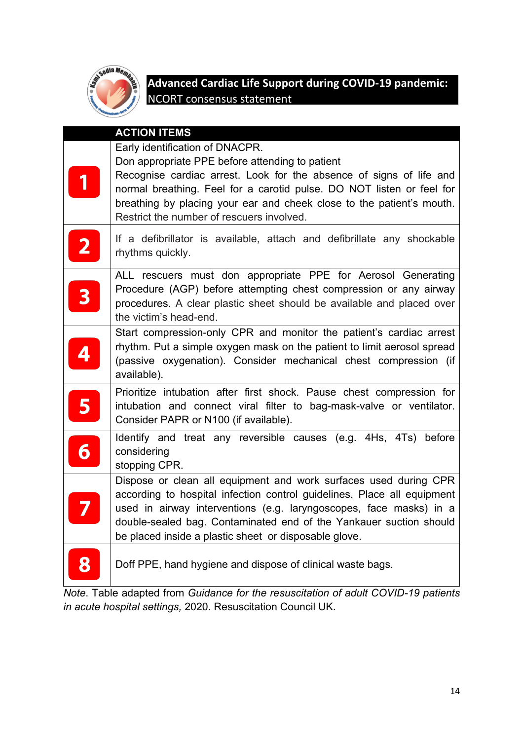

# **Advanced Cardiac Life Support during COVID-19 pandemic:**  NCORT consensus statement

|                         | <b>ACTION ITEMS</b>                                                                                                                                                                                                                                                                                                                              |
|-------------------------|--------------------------------------------------------------------------------------------------------------------------------------------------------------------------------------------------------------------------------------------------------------------------------------------------------------------------------------------------|
|                         | Early identification of DNACPR.                                                                                                                                                                                                                                                                                                                  |
| 1                       | Don appropriate PPE before attending to patient<br>Recognise cardiac arrest. Look for the absence of signs of life and<br>normal breathing. Feel for a carotid pulse. DO NOT listen or feel for<br>breathing by placing your ear and cheek close to the patient's mouth.<br>Restrict the number of rescuers involved.                            |
|                         | If a defibrillator is available, attach and defibrillate any shockable<br>rhythms quickly.                                                                                                                                                                                                                                                       |
| 3                       | ALL rescuers must don appropriate PPE for Aerosol Generating<br>Procedure (AGP) before attempting chest compression or any airway<br>procedures. A clear plastic sheet should be available and placed over<br>the victim's head-end.                                                                                                             |
|                         | Start compression-only CPR and monitor the patient's cardiac arrest<br>rhythm. Put a simple oxygen mask on the patient to limit aerosol spread<br>(passive oxygenation). Consider mechanical chest compression (if<br>available).                                                                                                                |
| 5                       | Prioritize intubation after first shock. Pause chest compression for<br>intubation and connect viral filter to bag-mask-valve or ventilator.<br>Consider PAPR or N100 (if available).                                                                                                                                                            |
| $\overline{\mathbf{6}}$ | Identify and treat any reversible causes (e.g. 4Hs, 4Ts) before<br>considering<br>stopping CPR.                                                                                                                                                                                                                                                  |
|                         | Dispose or clean all equipment and work surfaces used during CPR<br>according to hospital infection control guidelines. Place all equipment<br>used in airway interventions (e.g. laryngoscopes, face masks) in a<br>double-sealed bag. Contaminated end of the Yankauer suction should<br>be placed inside a plastic sheet or disposable glove. |
|                         | Doff PPE, hand hygiene and dispose of clinical waste bags.                                                                                                                                                                                                                                                                                       |

*Note*. Table adapted from *Guidance for the resuscitation of adult COVID-19 patients in acute hospital settings,* 2020*.* Resuscitation Council UK.